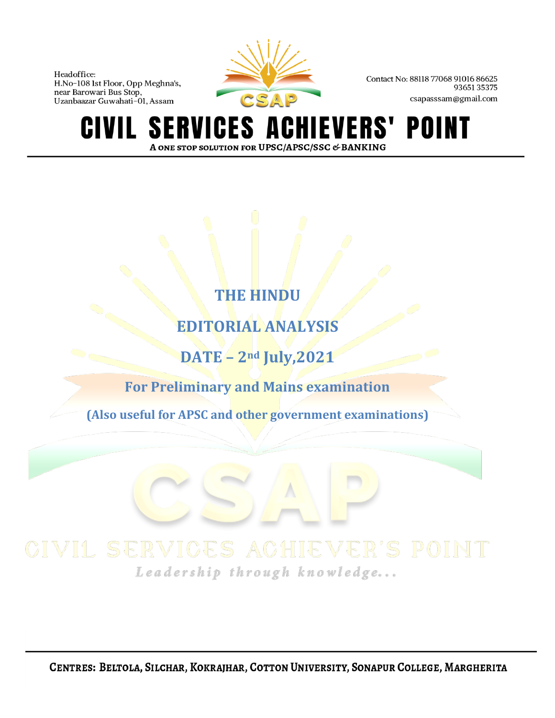

Contact No: 88118 77068 91016 86625 9365135375 csapasssam@gmail.com

HIEVERS' POINT **CIVIL SERVICES AO** A ONE STOP SOLUTION FOR UPSC/APSC/SSC & BANKING

# **THE HINDU**

**EDITORIAL ANALYSIS**

**DATE – 2nd July,2021**

**For Preliminary and Mains examination**

**(Also useful for APSC and other government examinations)**

Leadership through knowledge...

CENTRES: BELTOLA, SILCHAR, KOKRAJHAR, COTTON UNIVERSITY, SONAPUR COLLEGE, MARGHERITA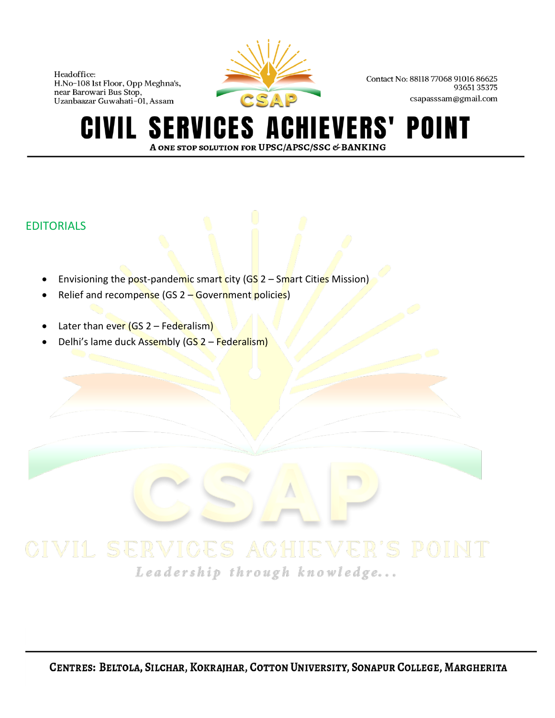

Contact No: 88118 77068 91016 86625 9365135375 csapasssam@gmail.com

### **SERVICES A** IEVERS' POINT CIVIL A ONE STOP SOLUTION FOR UPSC/APSC/SSC & BANKING

# EDITORIALS

- Envisioning the post-pandemic smart city ( $GS$  2 Smart Cities Mission)
- Relief and recompense (GS 2 Government policies)
- Later than ever  $(GS 2 Federalism)$
- Delhi's lame duck Assembly (GS 2 Federalism)

Leadership through knowledge...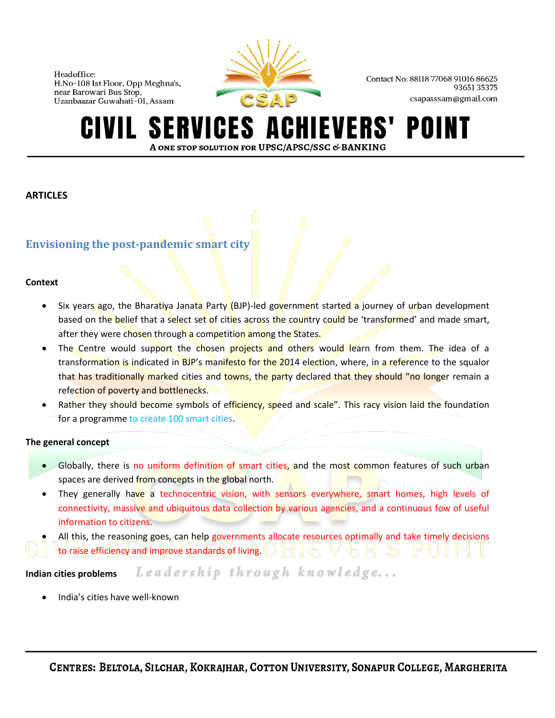

Contact No: 88118 77068 91016 86625 9365135375 csapasssam@gmail.com

### **ERVICES A IEVERS' SI** POI A ONE STOP SOLUTION FOR UPSC/APSC/SSC & BANKING

### **ARTICLES**

# **Envisioning the post-pandemic smart city**

### **Context**

- Six years ago, the Bharatiya Janata Party (BJP)-led government started a journey of urban development based on the belief that a select set of cities across the country could be 'transformed' and made smart, after they were chosen through a competition among the States.
- The Centre would support the chosen projects and others would learn from them. The idea of a transformation is indicated in BJP's manifesto for the 2014 election, where, in a reference to the squalor that has traditionally marked cities and towns, the party declared that they should "no longer remain a refection of poverty and bottlenecks.
- Rather they should become symbols of efficiency, speed and scale". This racy vision laid the foundation for a programme to create 100 smart cities.

### **The general concept**

- Globally, there is no uniform definition of smart cities, and the most common features of such urban spaces are derived from concepts in the global north.
- They generally have a technocentric vision, with sensors everywhere, smart homes, high levels of connectivity, massive and ubiquitous data collection by various agencies, and a continuous fow of useful information to citizens.
- All this, the reasoning goes, can help governments allocate resources optimally and take timely decisions to raise efficiency and improve standards of living.

Leadership through knowledge... **Indian cities problems**

• India's cities have well-known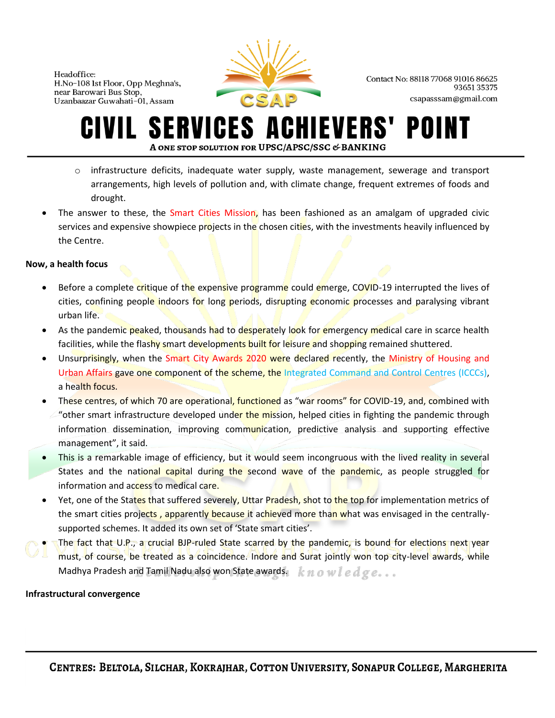

Contact No: 88118 77068 91016 86625 9365135375 csapasssam@gmail.com

### **ERVICES A** HIEVERS' POI A ONE STOP SOLUTION FOR UPSC/APSC/SSC & BANKING

- $\circ$  infrastructure deficits, inadequate water supply, waste management, sewerage and transport arrangements, high levels of pollution and, with climate change, frequent extremes of foods and drought.
- The answer to these, the Smart Cities Mission, has been fashioned as an amalgam of upgraded civic services and expensive showpiece projects in the chosen cities, with the investments heavily influenced by the Centre.

## **Now, a health focus**

- Before a complete critique of the expensive programme could emerge, COVID-19 interrupted the lives of cities, confining people indoors for long periods, disrupting economic processes and paralysing vibrant urban life.
- As the pandemic peaked, thousands had to desperately look for emergency medical care in scarce health facilities, while the flashy smart developments built for leisure and shopping remained shuttered.
- Unsurprisingly, when the Smart City Awards 2020 were declared recently, the Ministry of Housing and Urban Affairs gave one component of the scheme, the Integrated Command and Control Centres (ICCCs), a health focus.
- These centres, of which 70 are operational, functioned as "war rooms" for COVID-19, and, combined with "other smart infrastructure developed under the mission, helped cities in fighting the pandemic through information dissemination, improving communication, predictive analysis and supporting effective management", it said.
- This is a remarkable image of efficiency, but it would seem incongruous with the lived reality in several States and the national capital during the second wave of the pandemic, as people struggled for information and access to medical care.
- Yet, one of the States that suffered severely, Uttar Pradesh, shot to the top for implementation metrics of the smart cities projects, apparently because it achieved more than what was envisaged in the centrallysupported schemes. It added its own set of 'State smart cities'.
- The fact that U.P., a crucial BJP-ruled State scarred by the pandemic, is bound for elections next year must, of course, be treated as a coincidence. Indore and Surat jointly won top city-level awards, while Madhya Pradesh and Tamil Nadu also won State awards.  $k n o w l e d g e ...$

### **Infrastructural convergence**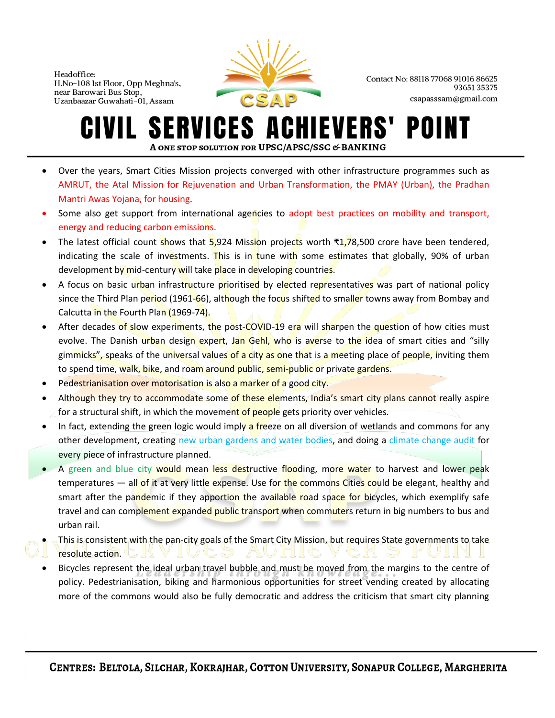

Contact No: 88118 77068 91016 86625 9365135375 csapasssam@gmail.com

### **SERVICES ACHIEVERS'** POII IVIL-A ONE STOP SOLUTION FOR UPSC/APSC/SSC & BANKING

- Over the years, Smart Cities Mission projects converged with other infrastructure programmes such as AMRUT, the Atal Mission for Rejuvenation and Urban Transformation, the PMAY (Urban), the Pradhan Mantri Awas Yojana, for housing.
- Some also get support from international agencies to adopt best practices on mobility and transport, energy and reducing carbon emissions.
- The latest official count shows that 5,924 Mission projects worth ₹1,78,500 crore have been tendered, indicating the scale of investments. This is in tune with some estimates that globally, 90% of urban development by mid-century will take place in developing countries.
- A focus on basic urban infrastructure prioritised by elected representatives was part of national policy since the Third Plan period (1961-66), although the focus shifted to smaller towns away from Bombay and Calcutta in the Fourth Plan (1969-74).
- After decades of slow experiments, the post-COVID-19 era will sharpen the question of how cities must evolve. The Danish urban design expert, Jan Gehl, who is averse to the idea of smart cities and "silly gimmicks", speaks of the universal values of a city as one that is a meeting place of people, inviting them to spend time, walk, bike, and roam around public, semi-public or private gardens.
- Pedestrianisation over motorisation is also a marker of a good city.
- Although they try to accommodate some of these elements, India's smart city plans cannot really aspire for a structural shift, in which the movement of people gets priority over vehicles.
- In fact, extending the green logic would imply a freeze on all diversion of wetlands and commons for any other development, creating new urban gardens and water bodies, and doing a climate change audit for every piece of infrastructure planned.
- A green and blue city would mean less destructive flooding, more water to harvest and lower peak temperatures — all of it at very little expense. Use for the commons Cities could be elegant, healthy and smart after the pandemic if they apportion the available road space for bicycles, which exemplify safe travel and can complement expanded public transport when commuters return in big numbers to bus and urban rail.
- This is consistent with the pan-city goals of the Smart City Mission, but requires State governments to take resolute action.
	- Bicycles represent the ideal urban travel bubble and must be moved from the margins to the centre of policy. Pedestrianisation, biking and harmonious opportunities for street vending created by allocating more of the commons would also be fully democratic and address the criticism that smart city planning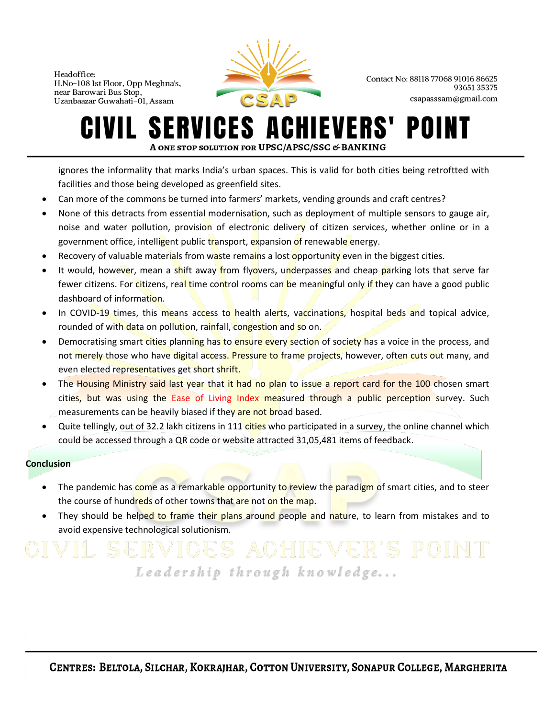

Contact No: 88118 77068 91016 86625 9365135375 csapasssam@gmail.com

### **SERVICES AO** CHIEVERS' POII IVIL. A ONE STOP SOLUTION FOR UPSC/APSC/SSC & BANKING

ignores the informality that marks India's urban spaces. This is valid for both cities being retroftted with facilities and those being developed as greenfield sites.

- Can more of the commons be turned into farmers' markets, vending grounds and craft centres?
- None of this detracts from essential modernisation, such as deployment of multiple sensors to gauge air, noise and water pollution, provision of electronic delivery of citizen services, whether online or in a government office, intelligent public transport, expansion of renewable energy.
- Recovery of valuable materials from waste remains a lost opportunity even in the biggest cities.
- It would, however, mean a shift away from flyovers, underpasses and cheap parking lots that serve far fewer citizens. For citizens, real time control rooms can be meaningful only if they can have a good public dashboard of information.
- In COVID-19 times, this means access to health alerts, vaccinations, hospital beds and topical advice, rounded of with data on pollution, rainfall, congestion and so on.
- Democratising smart cities planning has to ensure every section of society has a voice in the process, and not merely those who have digital access. Pressure to frame projects, however, often cuts out many, and even elected representatives get short shrift.
- The Housing Ministry said last year that it had no plan to issue a report card for the 100 chosen smart cities, but was using the Ease of Living Index measured through a public perception survey. Such measurements can be heavily biased if they are not broad based.
- Quite tellingly, out of 32.2 lakh citizens in 111 cities who participated in a survey, the online channel which could be accessed through a QR code or website attracted 31,05,481 items of feedback.

### **Conclusion**

- The pandemic has come as a remarkable opportunity to review the paradigm of smart cities, and to steer the course of hundreds of other towns that are not on the map.
- They should be helped to frame their plans around people and nature, to learn from mistakes and to avoid expensive technological solutionism.

# Leadership through knowledge...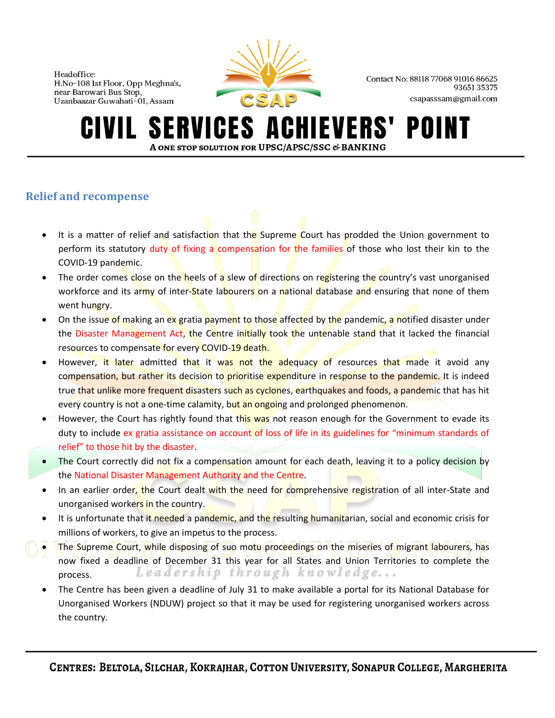

Contact No: 88118 77068 91016 86625 9365135375 csapasssam@gmail.com

### **SERVICES A IEVERS'** POII A ONE STOP SOLUTION FOR UPSC/APSC/SSC & BANKING

# **Relief and recompense**

- It is a matter of relief and satisfaction that the Supreme Court has prodded the Union government to perform its statutory duty of fixing a compensation for the families of those who lost their kin to the COVID-19 pandemic.
- The order comes close on the heels of a slew of directions on registering the country's vast unorganised workforce and its army of inter-State labourers on a national database and ensuring that none of them went hungry.
- On the issue of making an ex gratia payment to those affected by the pandemic, a notified disaster under the Disaster Management Act, the Centre initially took the untenable stand that it lacked the financial resources to compensate for every COVID-19 death.
- However, it later admitted that it was not the adequacy of resources that made it avoid any compensation, but rather its decision to prioritise expenditure in response to the pandemic. It is indeed true that unlike more frequent disasters such as cyclones, earthquakes and foods, a pandemic that has hit every country is not a one-time calamity, but an ongoing and prolonged phenomenon.
- However, the Court has rightly found that this was not reason enough for the Government to evade its duty to include ex gratia assistance on account of loss of life in its guidelines for "minimum standards of relief" to those hit by the disaster.
- The Court correctly did not fix a compensation amount for each death, leaving it to a policy decision by the National Disaster Management Authority and the Centre.
- In an earlier order, the Court dealt with the need for comprehensive registration of all inter-State and unorganised workers in the country.
- It is unfortunate that it needed a pandemic, and the resulting humanitarian, social and economic crisis for millions of workers, to give an impetus to the process.
- The Supreme Court, while disposing of suo motu proceedings on the miseries of migrant labourers, has now fixed a deadline of December 31 this year for all States and Union Territories to complete the Leadership through knowledge... process.
- The Centre has been given a deadline of July 31 to make available a portal for its National Database for Unorganised Workers (NDUW) project so that it may be used for registering unorganised workers across the country.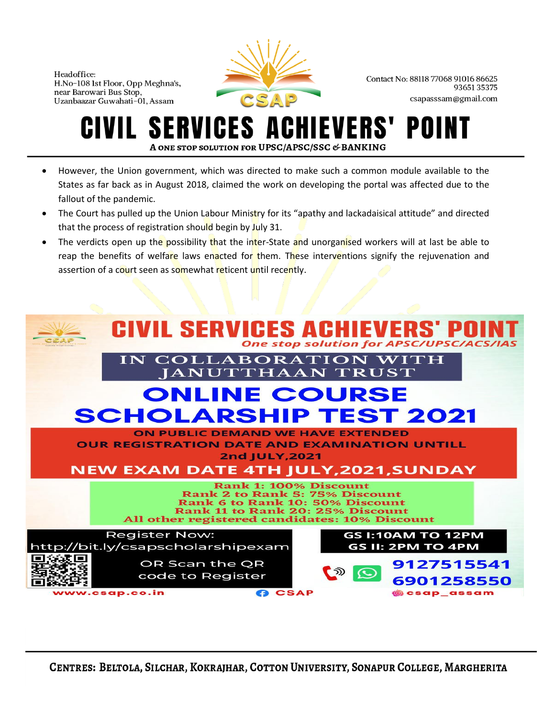

Contact No: 88118 77068 91016 86625 9365135375 csapasssam@gmail.com

### ERVICES A **EVERS'** POI A ONE STOP SOLUTION FOR UPSC/APSC/SSC & BANKING

- However, the Union government, which was directed to make such a common module available to the States as far back as in August 2018, claimed the work on developing the portal was affected due to the fallout of the pandemic.
- The Court has pulled up the Union Labour Ministry for its "apathy and lackadaisical attitude" and directed that the process of registration should begin by July 31.
- The verdicts open up the possibility that the inter-State and unorganised workers will at last be able to reap the benefits of welfare laws enacted for them. These interventions signify the rejuvenation and assertion of a court seen as somewhat reticent until recently.

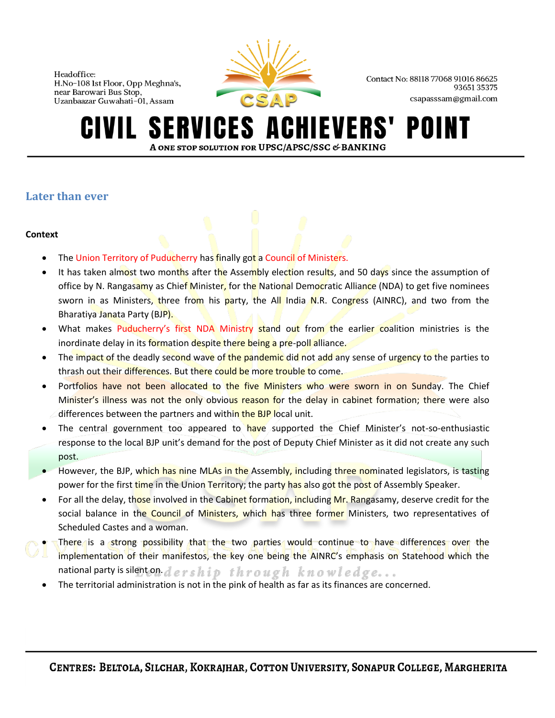

Contact No: 88118 77068 91016 86625 9365135375 csapasssam@gmail.com

### **SERVICES AO HIEVERS'** POII A ONE STOP SOLUTION FOR UPSC/APSC/SSC & BANKING

# **Later than ever**

### **Context**

- The Union Territory of Puducherry has finally got a Council of Ministers.
- It has taken almost two months after the Assembly election results, and 50 days since the assumption of office by N. Rangasamy as Chief Minister, for the National Democratic Alliance (NDA) to get five nominees sworn in as Ministers, three from his party, the All India N.R. Congress (AINRC), and two from the Bharatiya Janata Party (BJP).
- What makes Puducherry's first NDA Ministry stand out from the earlier coalition ministries is the inordinate delay in its formation despite there being a pre-poll alliance.
- The impact of the deadly second wave of the pandemic did not add any sense of urgency to the parties to thrash out their differences. But there could be more trouble to come.
- Portfolios have not been allocated to the five Ministers who were sworn in on Sunday. The Chief Minister's illness was not the only obvious reason for the delay in cabinet formation; there were also differences between the partners and within the BJP local unit.
- The central government too appeared to have supported the Chief Minister's not-so-enthusiastic response to the local BJP unit's demand for the post of Deputy Chief Minister as it did not create any such post.
- However, the BJP, which has nine MLAs in the Assembly, including three nominated legislators, is tasting power for the first time in the Union Territory; the party has also got the post of Assembly Speaker.
- For all the delay, those involved in the Cabinet formation, including Mr. Rangasamy, deserve credit for the social balance in the Council of Ministers, which has three former Ministers, two representatives of Scheduled Castes and a woman.
- There is a strong possibility that the two parties would continue to have differences over the implementation of their manifestos, the key one being the AINRC's emphasis on Statehood which the national party is silent on.  $d$  ership through knowledge...
	- The territorial administration is not in the pink of health as far as its finances are concerned.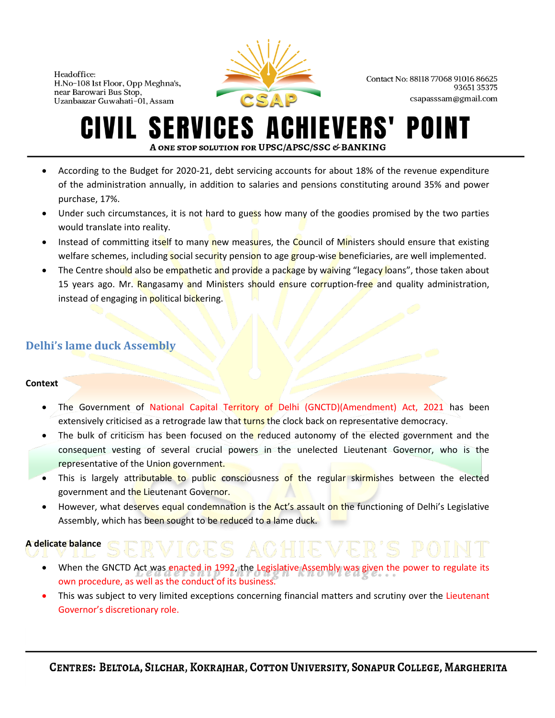

Contact No: 88118 77068 91016 86625 9365135375 csapasssam@gmail.com

## **SERVICES ACHIEVERS'** POII A ONE STOP SOLUTION FOR UPSC/APSC/SSC & BANKING

- According to the Budget for 2020-21, debt servicing accounts for about 18% of the revenue expenditure of the administration annually, in addition to salaries and pensions constituting around 35% and power purchase, 17%.
- Under such circumstances, it is not hard to guess how many of the goodies promised by the two parties would translate into reality.
- Instead of committing itself to many new measures, the Council of Ministers should ensure that existing welfare schemes, including social security pension to age group-wise beneficiaries, are well implemented.
- The Centre should also be empathetic and provide a package by waiving "legacy loans", those taken about 15 years ago. Mr. Rangasamy and Ministers should ensure corruption-free and quality administration, instead of engaging in political bickering.

# **Delhi's lame duck Assembly**

### **Context**

- The Government of National Capital Territory of Delhi (GNCTD)(Amendment) Act, 2021 has been extensively criticised as a retrograde law that turns the clock back on representative democracy.
- The bulk of criticism has been focused on the reduced autonomy of the elected government and the consequent vesting of several crucial powers in the unelected Lieutenant Governor, who is the representative of the Union government.
- This is largely attributable to public consciousness of the regular skirmishes between the elected government and the Lieutenant Governor.
- However, what deserves equal condemnation is the Act's assault on the functioning of Delhi's Legislative Assembly, which has been sought to be reduced to a lame duck.

### **A delicate balance**

Governor's discretionary role.

- When the GNCTD Act was enacted in 1992, the Legislative Assembly was given the power to regulate its
- own procedure, as well as the conduct of its business. This was subject to very limited exceptions concerning financial matters and scrutiny over the Lieutenant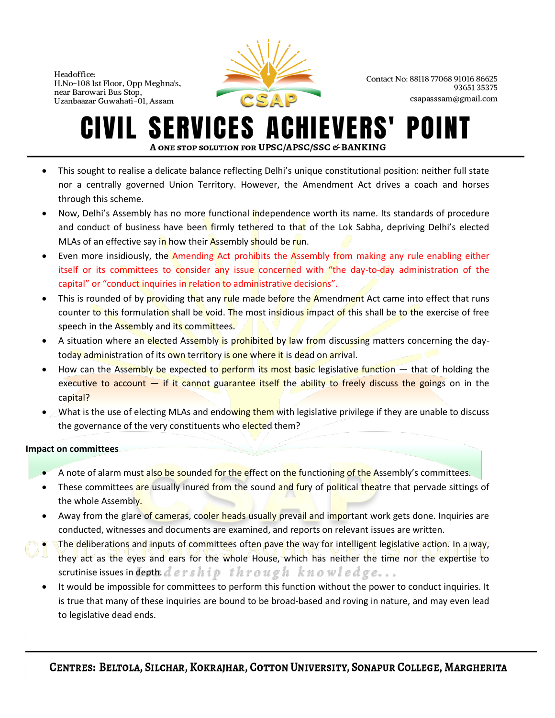

Contact No: 88118 77068 91016 86625 9365135375 csapasssam@gmail.com

### **SERVICES AO** IEVERS' POII A ONE STOP SOLUTION FOR UPSC/APSC/SSC & BANKING

- This sought to realise a delicate balance reflecting Delhi's unique constitutional position: neither full state nor a centrally governed Union Territory. However, the Amendment Act drives a coach and horses through this scheme.
- Now, Delhi's Assembly has no more functional independence worth its name. Its standards of procedure and conduct of business have been firmly tethered to that of the Lok Sabha, depriving Delhi's elected MLAs of an effective say in how their Assembly should be run.
- Even more insidiously, the Amending Act prohibits the Assembly from making any rule enabling either itself or its committees to consider any issue concerned with "the day-to-day administration of the capital" or "conduct inquiries in relation to administrative decisions".
- This is rounded of by providing that any rule made before the Amendment Act came into effect that runs counter to this formulation shall be void. The most insidious impact of this shall be to the exercise of free speech in the Assembly and its committees.
- A situation where an elected Assembly is prohibited by law from discussing matters concerning the daytoday administration of its own territory is one where it is dead on arrival.
- How can the Assembly be expected to perform its most basic legislative function  $-$  that of holding the executive to account  $-$  if it cannot guarantee itself the ability to freely discuss the goings on in the capital?
- What is the use of electing MLAs and endowing them with legislative privilege if they are unable to discuss the governance of the very constituents who elected them?

### **Impact on committees**

- A note of alarm must also be sounded for the effect on the functioning of the Assembly's committees.
- These committees are usually inured from the sound and fury of political theatre that pervade sittings of the whole Assembly.
- Away from the glare of cameras, cooler heads usually prevail and important work gets done. Inquiries are conducted, witnesses and documents are examined, and reports on relevant issues are written.
- The deliberations and inputs of committees often pave the way for intelligent legislative action. In a way, they act as the eyes and ears for the whole House, which has neither the time nor the expertise to scrutinise issues in depth.  $dership$  through knowledge...
- It would be impossible for committees to perform this function without the power to conduct inquiries. It is true that many of these inquiries are bound to be broad-based and roving in nature, and may even lead to legislative dead ends.